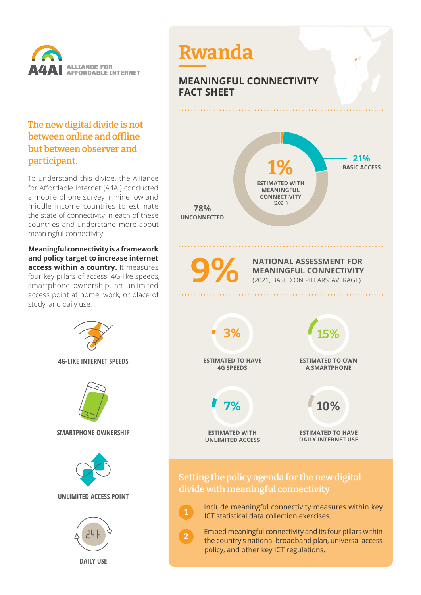

## **The new digital divide is not between online and offline but between observer and participant.**

To understand this divide, the Alliance for Affordable Internet (A4AI) conducted a mobile phone survey in nine low and middle income countries to estimate the state of connectivity in each of these countries and understand more about meaningful connectivity.

**Meaningful connectivity is a framework and policy target to increase internet access within a country.** It measures four key pillars of access: 4G-like speeds, smartphone ownership, an unlimited access point at home, work, or place of study, and daily use.





 Embed meaningful connectivity and its four pillars within the country's national broadband plan, universal access policy, and other key ICT regulations.

**2**